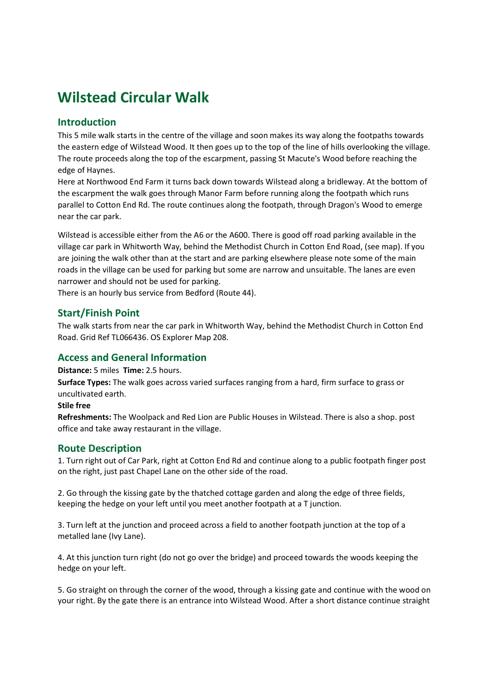# Wilstead Circular Walk

## Introduction

This 5 mile walk starts in the centre of the village and soon makes its way along the footpaths towards the eastern edge of Wilstead Wood. It then goes up to the top of the line of hills overlooking the village. The route proceeds along the top of the escarpment, passing St Macute's Wood before reaching the edge of Haynes.

Here at Northwood End Farm it turns back down towards Wilstead along a bridleway. At the bottom of the escarpment the walk goes through Manor Farm before running along the footpath which runs parallel to Cotton End Rd. The route continues along the footpath, through Dragon's Wood to emerge near the car park.

Wilstead is accessible either from the A6 or the A600. There is good off road parking available in the village car park in Whitworth Way, behind the Methodist Church in Cotton End Road, (see map). If you are joining the walk other than at the start and are parking elsewhere please note some of the main roads in the village can be used for parking but some are narrow and unsuitable. The lanes are even narrower and should not be used for parking.

There is an hourly bus service from Bedford (Route 44).

## Start/Finish Point

The walk starts from near the car park in Whitworth Way, behind the Methodist Church in Cotton End Road. Grid Ref TL066436. OS Explorer Map 208.

## Access and General Information

Distance: 5 miles Time: 2.5 hours.

Surface Types: The walk goes across varied surfaces ranging from a hard, firm surface to grass or uncultivated earth.

#### Stile free

Refreshments: The Woolpack and Red Lion are Public Houses in Wilstead. There is also a shop. post office and take away restaurant in the village.

## Route Description

1. Turn right out of Car Park, right at Cotton End Rd and continue along to a public footpath finger post on the right, just past Chapel Lane on the other side of the road.

2. Go through the kissing gate by the thatched cottage garden and along the edge of three fields, keeping the hedge on your left until you meet another footpath at a T junction.

3. Turn left at the junction and proceed across a field to another footpath junction at the top of a metalled lane (Ivy Lane).

4. At this junction turn right (do not go over the bridge) and proceed towards the woods keeping the hedge on your left.

5. Go straight on through the corner of the wood, through a kissing gate and continue with the wood on your right. By the gate there is an entrance into Wilstead Wood. After a short distance continue straight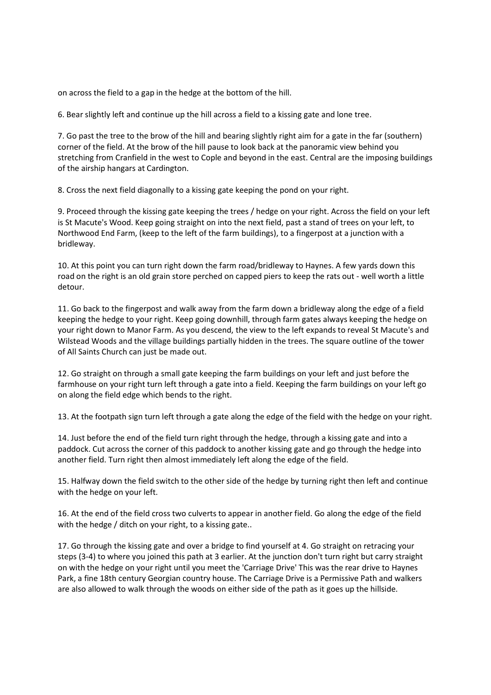on across the field to a gap in the hedge at the bottom of the hill.

6. Bear slightly left and continue up the hill across a field to a kissing gate and lone tree.

7. Go past the tree to the brow of the hill and bearing slightly right aim for a gate in the far (southern) corner of the field. At the brow of the hill pause to look back at the panoramic view behind you stretching from Cranfield in the west to Cople and beyond in the east. Central are the imposing buildings of the airship hangars at Cardington.

8. Cross the next field diagonally to a kissing gate keeping the pond on your right.

9. Proceed through the kissing gate keeping the trees / hedge on your right. Across the field on your left is St Macute's Wood. Keep going straight on into the next field, past a stand of trees on your left, to Northwood End Farm, (keep to the left of the farm buildings), to a fingerpost at a junction with a bridleway.

10. At this point you can turn right down the farm road/bridleway to Haynes. A few yards down this road on the right is an old grain store perched on capped piers to keep the rats out - well worth a little detour.

11. Go back to the fingerpost and walk away from the farm down a bridleway along the edge of a field keeping the hedge to your right. Keep going downhill, through farm gates always keeping the hedge on your right down to Manor Farm. As you descend, the view to the left expands to reveal St Macute's and Wilstead Woods and the village buildings partially hidden in the trees. The square outline of the tower of All Saints Church can just be made out.

12. Go straight on through a small gate keeping the farm buildings on your left and just before the farmhouse on your right turn left through a gate into a field. Keeping the farm buildings on your left go on along the field edge which bends to the right.

13. At the footpath sign turn left through a gate along the edge of the field with the hedge on your right.

14. Just before the end of the field turn right through the hedge, through a kissing gate and into a paddock. Cut across the corner of this paddock to another kissing gate and go through the hedge into another field. Turn right then almost immediately left along the edge of the field.

15. Halfway down the field switch to the other side of the hedge by turning right then left and continue with the hedge on your left.

16. At the end of the field cross two culverts to appear in another field. Go along the edge of the field with the hedge / ditch on your right, to a kissing gate..

17. Go through the kissing gate and over a bridge to find yourself at 4. Go straight on retracing your steps (3-4) to where you joined this path at 3 earlier. At the junction don't turn right but carry straight on with the hedge on your right until you meet the 'Carriage Drive' This was the rear drive to Haynes Park, a fine 18th century Georgian country house. The Carriage Drive is a Permissive Path and walkers are also allowed to walk through the woods on either side of the path as it goes up the hillside.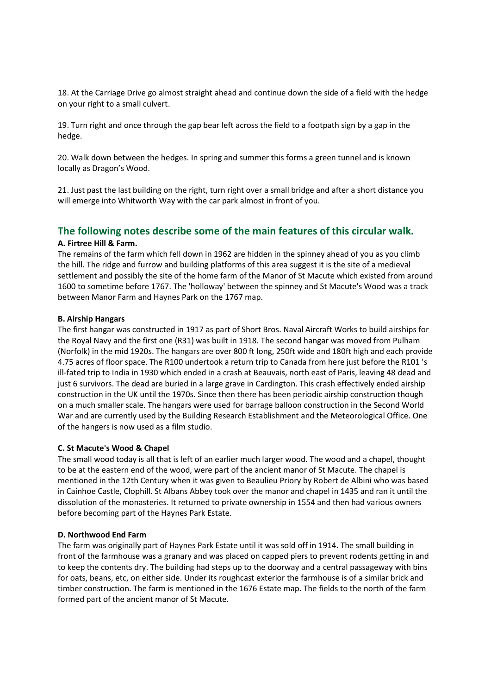18. At the Carriage Drive go almost straight ahead and continue down the side of a field with the hedge on your right to a small culvert.

19. Turn right and once through the gap bear left across the field to a footpath sign by a gap in the hedge.

20. Walk down between the hedges. In spring and summer this forms a green tunnel and is known locally as Dragon's Wood.

21. Just past the last building on the right, turn right over a small bridge and after a short distance you will emerge into Whitworth Way with the car park almost in front of you.

## The following notes describe some of the main features of this circular walk.

#### A. Firtree Hill & Farm.

The remains of the farm which fell down in 1962 are hidden in the spinney ahead of you as you climb the hill. The ridge and furrow and building platforms of this area suggest it is the site of a medieval settlement and possibly the site of the home farm of the Manor of St Macute which existed from around 1600 to sometime before 1767. The 'holloway' between the spinney and St Macute's Wood was a track between Manor Farm and Haynes Park on the 1767 map.

#### B. Airship Hangars

The first hangar was constructed in 1917 as part of Short Bros. Naval Aircraft Works to build airships for the Royal Navy and the first one (R31) was built in 1918. The second hangar was moved from Pulham (Norfolk) in the mid 1920s. The hangars are over 800 ft long, 250ft wide and 180ft high and each provide 4.75 acres of floor space. The R100 undertook a return trip to Canada from here just before the R101 's ill-fated trip to India in 1930 which ended in a crash at Beauvais, north east of Paris, leaving 48 dead and just 6 survivors. The dead are buried in a large grave in Cardington. This crash effectively ended airship construction in the UK until the 1970s. Since then there has been periodic airship construction though on a much smaller scale. The hangars were used for barrage balloon construction in the Second World War and are currently used by the Building Research Establishment and the Meteorological Office. One of the hangers is now used as a film studio.

#### C. St Macute's Wood & Chapel

The small wood today is all that is left of an earlier much larger wood. The wood and a chapel, thought to be at the eastern end of the wood, were part of the ancient manor of St Macute. The chapel is mentioned in the 12th Century when it was given to Beaulieu Priory by Robert de Albini who was based in Cainhoe Castle, Clophill. St Albans Abbey took over the manor and chapel in 1435 and ran it until the dissolution of the monasteries. It returned to private ownership in 1554 and then had various owners before becoming part of the Haynes Park Estate.

#### D. Northwood End Farm

The farm was originally part of Haynes Park Estate until it was sold off in 1914. The small building in front of the farmhouse was a granary and was placed on capped piers to prevent rodents getting in and to keep the contents dry. The building had steps up to the doorway and a central passageway with bins for oats, beans, etc, on either side. Under its roughcast exterior the farmhouse is of a similar brick and timber construction. The farm is mentioned in the 1676 Estate map. The fields to the north of the farm formed part of the ancient manor of St Macute.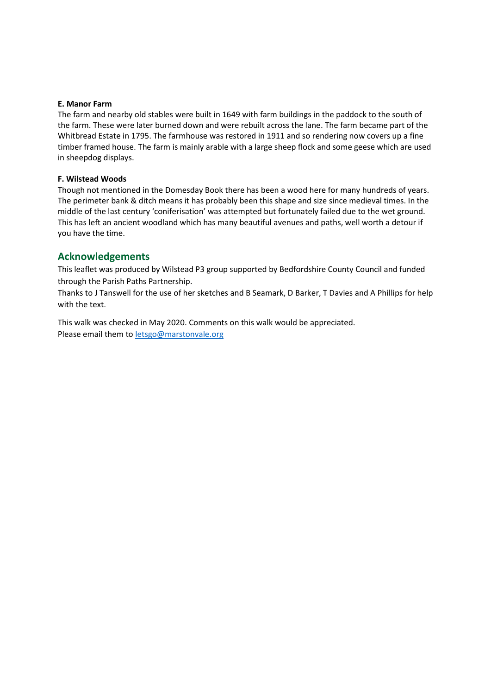#### E. Manor Farm

The farm and nearby old stables were built in 1649 with farm buildings in the paddock to the south of the farm. These were later burned down and were rebuilt across the lane. The farm became part of the Whitbread Estate in 1795. The farmhouse was restored in 1911 and so rendering now covers up a fine timber framed house. The farm is mainly arable with a large sheep flock and some geese which are used in sheepdog displays.

#### F. Wilstead Woods

Though not mentioned in the Domesday Book there has been a wood here for many hundreds of years. The perimeter bank & ditch means it has probably been this shape and size since medieval times. In the middle of the last century 'coniferisation' was attempted but fortunately failed due to the wet ground. This has left an ancient woodland which has many beautiful avenues and paths, well worth a detour if you have the time.

### Acknowledgements

This leaflet was produced by Wilstead P3 group supported by Bedfordshire County Council and funded through the Parish Paths Partnership.

Thanks to J Tanswell for the use of her sketches and B Seamark, D Barker, T Davies and A Phillips for help with the text.

This walk was checked in May 2020. Comments on this walk would be appreciated. Please email them to letsgo@marstonvale.org